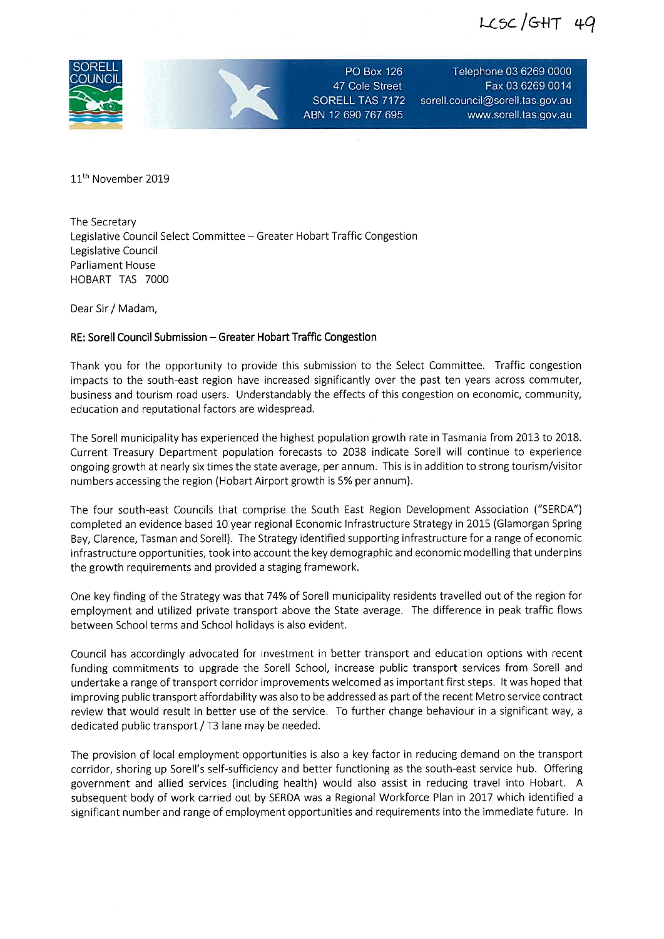$LCSC/GHT 49$ 



PO Box 126 47 Cole Street SORELL TAS 7172 ABN 12690767695

Telephone 03 6269 0000 Fax 0362690014 sorell. council@sorell. tas. gov. au www.sorell.tas.gov.au

11<sup>th</sup> November 2019

The Secretary Legislative Council Select Committee - Greater Hobart Traffic Congestion Legislative Council Parliament House HOBART TAS 7000

Dear Sir / Madam,

## RE: Sorell Council Submission - Greater Hobart Traffic Congestion

Thank you for the opportunity to provide this submission to the Select Committee. Traffic congestion impacts to the south-east region have increased significantly over the past ten years across commuter, business and tourism road users. Understandably the effects of this congestion on economic, community, education and reputational factors are widespread.

The Sorell municipality has experienced the highest population growth rate in Tasmania from 2013 to 2018. Current Treasury Department population forecasts to 2038 indicate Sorell will continue to experience ongoing growth at nearly six times the state average, per annum. This is in addition to strong tourism/visitor numbers accessing the region (Hobart Airport growth is 5% per annum).

The four south-east Councils that comprise the South East Region Development Association ("SERDA") completed an evidence based 10 Year regional Economic Infrastructure Strategy in 2015 (Glamorgan Spring Bay, Clarence, Tasman and Sorell). The Strategy identified supporting infrastructure for a range of economic infrastructure opportunities, took into account the key demographic and economic modelling that underpins the growth requirements and provided a staging framework.

One key finding of the Strategy was that 74% of Sorell municipality residents travelled out of the region for employment and utilized private transport above the State average. The difference in peak traffic flows between School terms and School holidays is also evident.

Council has accordingly advocated for investment in better transport and education options with recent funding commitments to upgrade the Sorell School, increase public transport services from Sorell and undertake a range of transport corridor improvements welcomed as important first steps. It was hoped that improving public transport affordability was also to be addressed as part of the recent Metro service contract review that would result in better use of the service. To further change behaviour in a significant way, a dedicated public transport / T3 lane may be needed.

The provision of local employment opportunities is also a key factor in reducing demand on the transport corridor, shoring up Sorell's self-sufficiency and better functioning as the south-east service hub. Offering government and allied services (including health) would also assist in reducing travel into Hobart. A subsequent body of work carried out by SERDA was a Regional Workforce Plan in 2017 which identified a significant number and range of employment opportunities and requirements into the immediate future. in